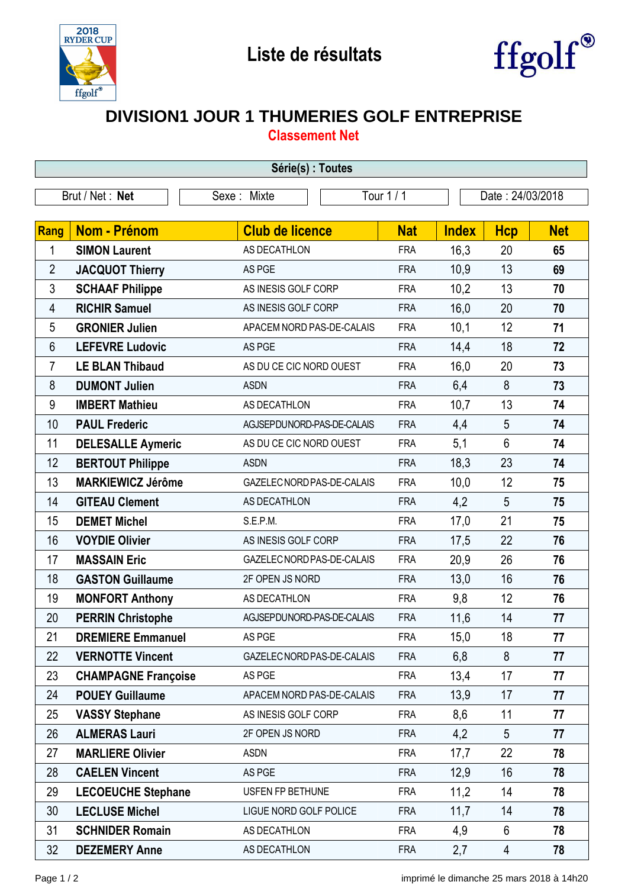



## **DIVISION1 JOUR 1 THUMERIES GOLF ENTREPRISE**

**Classement Net**

| Série(s) : Toutes |                            |                            |            |              |                  |            |  |  |  |  |
|-------------------|----------------------------|----------------------------|------------|--------------|------------------|------------|--|--|--|--|
| Brut / Net: Net   |                            | Sexe: Mixte                | Tour 1 / 1 |              | Date: 24/03/2018 |            |  |  |  |  |
|                   |                            |                            |            |              |                  |            |  |  |  |  |
| Rang              | <b>Nom - Prénom</b>        | <b>Club de licence</b>     | <b>Nat</b> | <b>Index</b> | <b>Hcp</b>       | <b>Net</b> |  |  |  |  |
| 1                 | <b>SIMON Laurent</b>       | AS DECATHLON               | <b>FRA</b> | 16,3         | 20               | 65         |  |  |  |  |
| $\overline{2}$    | <b>JACQUOT Thierry</b>     | AS PGE                     | <b>FRA</b> | 10,9         | 13               | 69         |  |  |  |  |
| 3                 | <b>SCHAAF Philippe</b>     | AS INESIS GOLF CORP        | <b>FRA</b> | 10,2         | 13               | 70         |  |  |  |  |
| 4                 | <b>RICHIR Samuel</b>       | AS INESIS GOLF CORP        | <b>FRA</b> | 16,0         | 20               | 70         |  |  |  |  |
| 5                 | <b>GRONIER Julien</b>      | APACEM NORD PAS-DE-CALAIS  | <b>FRA</b> | 10,1         | 12               | 71         |  |  |  |  |
| 6                 | <b>LEFEVRE Ludovic</b>     | AS PGE                     | <b>FRA</b> | 14,4         | 18               | 72         |  |  |  |  |
| $\overline{7}$    | <b>LE BLAN Thibaud</b>     | AS DU CE CIC NORD OUEST    | <b>FRA</b> | 16,0         | 20               | 73         |  |  |  |  |
| 8                 | <b>DUMONT Julien</b>       | <b>ASDN</b>                | <b>FRA</b> | 6,4          | 8                | 73         |  |  |  |  |
| 9                 | <b>IMBERT Mathieu</b>      | AS DECATHLON               | <b>FRA</b> | 10,7         | 13               | 74         |  |  |  |  |
| 10                | <b>PAUL Frederic</b>       | AGJSEPDUNORD-PAS-DE-CALAIS | <b>FRA</b> | 4,4          | 5                | 74         |  |  |  |  |
| 11                | <b>DELESALLE Aymeric</b>   | AS DU CE CIC NORD OUEST    | <b>FRA</b> | 5,1          | $6\phantom{1}$   | 74         |  |  |  |  |
| 12                | <b>BERTOUT Philippe</b>    | <b>ASDN</b>                | <b>FRA</b> | 18,3         | 23               | 74         |  |  |  |  |
| 13                | <b>MARKIEWICZ Jérôme</b>   | GAZELEC NORD PAS-DE-CALAIS | <b>FRA</b> | 10,0         | 12               | 75         |  |  |  |  |
| 14                | <b>GITEAU Clement</b>      | AS DECATHLON               | <b>FRA</b> | 4,2          | 5                | 75         |  |  |  |  |
| 15                | <b>DEMET Michel</b>        | S.E.P.M.                   | <b>FRA</b> | 17,0         | 21               | 75         |  |  |  |  |
| 16                | <b>VOYDIE Olivier</b>      | AS INESIS GOLF CORP        | <b>FRA</b> | 17,5         | 22               | 76         |  |  |  |  |
| 17                | <b>MASSAIN Eric</b>        | GAZELEC NORD PAS-DE-CALAIS | <b>FRA</b> | 20,9         | 26               | 76         |  |  |  |  |
| 18                | <b>GASTON Guillaume</b>    | 2F OPEN JS NORD            | <b>FRA</b> | 13,0         | 16               | 76         |  |  |  |  |
| 19                | <b>MONFORT Anthony</b>     | AS DECATHLON               | <b>FRA</b> | 9,8          | 12               | 76         |  |  |  |  |
| 20                | <b>PERRIN Christophe</b>   | AGJSEPDUNORD-PAS-DE-CALAIS | <b>FRA</b> | 11,6         | 14               | 77         |  |  |  |  |
| 21                | <b>DREMIERE Emmanuel</b>   | AS PGE                     | <b>FRA</b> | 15,0         | 18               | 77         |  |  |  |  |
| 22                | <b>VERNOTTE Vincent</b>    | GAZELEC NORD PAS-DE-CALAIS | <b>FRA</b> | 6,8          | 8                | 77         |  |  |  |  |
| 23                | <b>CHAMPAGNE Françoise</b> | AS PGE                     | <b>FRA</b> | 13,4         | 17               | 77         |  |  |  |  |
| 24                | <b>POUEY Guillaume</b>     | APACEM NORD PAS-DE-CALAIS  | <b>FRA</b> | 13,9         | 17               | 77         |  |  |  |  |
| 25                | <b>VASSY Stephane</b>      | AS INESIS GOLF CORP        | <b>FRA</b> | 8,6          | 11               | 77         |  |  |  |  |
| 26                | <b>ALMERAS Lauri</b>       | 2F OPEN JS NORD            | <b>FRA</b> | 4,2          | $5\phantom{.0}$  | 77         |  |  |  |  |
| 27                | <b>MARLIERE Olivier</b>    | <b>ASDN</b>                | <b>FRA</b> | 17,7         | 22               | 78         |  |  |  |  |
| 28                | <b>CAELEN Vincent</b>      | AS PGE                     | <b>FRA</b> | 12,9         | 16               | 78         |  |  |  |  |
| 29                | <b>LECOEUCHE Stephane</b>  | USFEN FP BETHUNE           | <b>FRA</b> | 11,2         | 14               | 78         |  |  |  |  |
| 30                | <b>LECLUSE Michel</b>      | LIGUE NORD GOLF POLICE     | <b>FRA</b> | 11,7         | 14               | 78         |  |  |  |  |
| 31                | <b>SCHNIDER Romain</b>     | AS DECATHLON               | <b>FRA</b> | 4,9          | 6                | 78         |  |  |  |  |
| 32                | <b>DEZEMERY Anne</b>       | AS DECATHLON               | <b>FRA</b> | 2,7          | $\overline{4}$   | 78         |  |  |  |  |